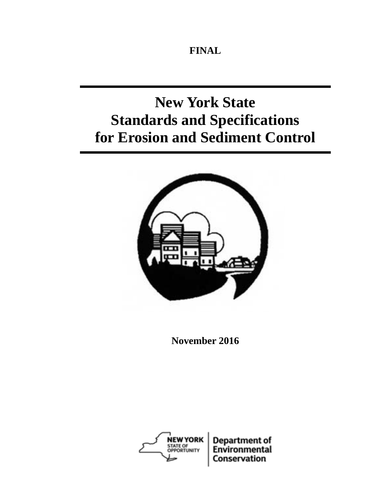**FINAL** 

# **New York State Standards and Specifications for Erosion and Sediment Control**



**November 2016** 

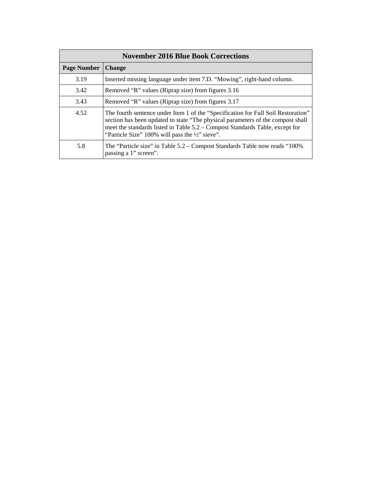| <b>November 2016 Blue Book Corrections</b> |                                                                                                                                                                                                                                                                                                         |  |  |  |
|--------------------------------------------|---------------------------------------------------------------------------------------------------------------------------------------------------------------------------------------------------------------------------------------------------------------------------------------------------------|--|--|--|
| <b>Page Number</b>                         | <b>Change</b>                                                                                                                                                                                                                                                                                           |  |  |  |
| 3.19                                       | Inserted missing language under item 7.D. "Mowing", right-hand column.                                                                                                                                                                                                                                  |  |  |  |
| 3.42                                       | Removed "R" values (Riprap size) from figures 3.16                                                                                                                                                                                                                                                      |  |  |  |
| 3.43                                       | Removed "R" values (Riprap size) from figures 3.17                                                                                                                                                                                                                                                      |  |  |  |
| 4.52                                       | The fourth sentence under Item 1 of the "Specification for Full Soil Restoration"<br>section has been updated to state "The physical parameters of the compost shall<br>meet the standards listed in Table 5.2 – Compost Standards Table, except for<br>"Particle Size" 100% will pass the 1/2" sieve". |  |  |  |
| 5.8                                        | The "Particle size" in Table 5.2 – Compost Standards Table now reads "100%"<br>passing a 1" screen".                                                                                                                                                                                                    |  |  |  |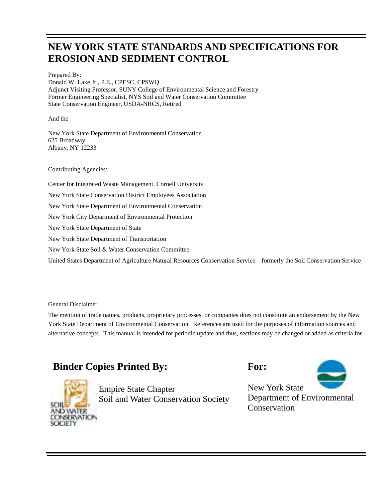### **NEW YORK STATE STANDARDS AND SPECIFICATIONS FOR EROSION AND SEDIMENT CONTROL**

Prepared By: Donald W. Lake Jr., P.E., CPESC, CPSWQ Adjunct Visiting Professor, SUNY College of Environmental Science and Forestry Former Engineering Specialist, NYS Soil and Water Conservation Committee State Conservation Engineer, USDA-NRCS, Retired

And the

New York State Department of Environmental Conservation 625 Broadway Albany, NY 12233

Contributing Agencies:

 Center for Integrated Waste Management, Cornell University New York State Soil & Water Conservation Committee New York State Conservation District Employees Association New York State Department of Environmental Conservation New York City Department of Environmental Protection New York State Department of State New York State Department of Transportation

United States Department of Agriculture Natural Resources Conservation Service—formerly the Soil Conservation Service

#### General Disclaimer

The mention of trade names, products, proprietary processes, or companies does not constitute an endorsement by the New York State Department of Environmental Conservation. References are used for the purposes of information sources and alternative concepts. This manual is intended for periodic update and thus, sections may be changed or added as criteria for

### **Binder Copies Printed By:** For:



Empire State Chapter<br>
Soil and Water Conservation Society<br>
Department of Environmental Soil and Water Conservation Society



**Conservation**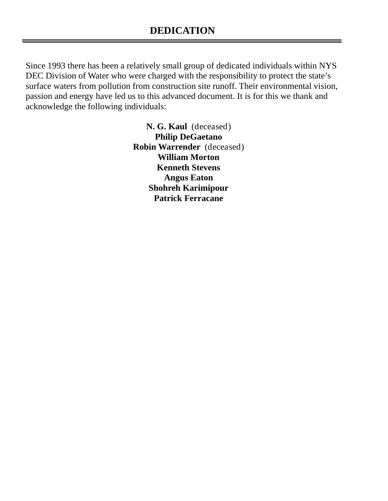Since 1993 there has been a relatively small group of dedicated individuals within NYS DEC Division of Water who were charged with the responsibility to protect the state's surface waters from pollution from construction site runoff. Their environmental vision, passion and energy have led us to this advanced document. It is for this we thank and acknowledge the following individuals:

> **N. G. Kaul** (deceased) **Robin Warrender** (deceased)**Philip DeGaetano William Morton Kenneth Stevens Angus Eaton Shohreh Karimipour Patrick Ferracane**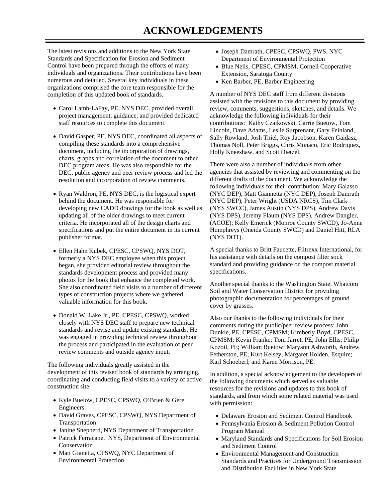The latest revisions and additions to the New York State Standards and Specification for Erosion and Sediment Control have been prepared through the efforts of many individuals and organizations. Their contributions have been numerous and detailed. Several key individuals in these organizations comprised the core team responsible for the completion of this updated book of standards.

- project management, guidance, and provided dedicated Carol Lamb-LaFay, PE, NYS DEC, provided overall staff resources to complete this document.
- David Gasper, PE, NYS DEC, coordinated all aspects of charts, graphs and correlation of the document to other compiling these standards into a comprehensive document, including the incorporation of drawings, DEC program areas. He was also responsible for the DEC, public agency and peer review process and led the resolution and incorporation of review comments.
- Ryan Waldron, PE, NYS DEC, is the logistical expert behind the document. He was responsible for developing new CADD drawings for the book as well as updating all of the older drawings to meet current criteria. He incorporated all of the design charts and specifications and put the entire document in its current publisher format.
- She also coordinated field visits to a number of different Ellen Hahn Kubek, CPESC, CPSWQ, NYS DOT, formerly a NYS DEC employee when this project began, she provided editorial review throughout the standards development process and provided many photos for the book that enhance the completed work. types of construction projects where we gathered valuable information for this book.
- review comments and outside agency input. Donald W. Lake Jr., PE, CPESC, CPSWQ, worked closely with NYS DEC staff to prepare new technical standards and revise and update existing standards. He was engaged in providing technical review throughout the process and participated in the evaluation of peer

 development of this revised book of standards by arranging, The following individuals greatly assisted in the coordinating and conducting field visits to a variety of active construction site:

- Kyle Buelow, CPESC, CPSWQ, O'Brien & Gere Engineers
- David Graves, CPESC, CPSWQ, NYS Department of Transportation
- Janine Shepherd, NYS Department of Transportation
- ConservationPatrick Ferracane, NYS, Department of Environmental
- Matt Gianetta, CPSWQ, NYC Department of<br>Environmental Protection
- Department of Environmental ProtectionJoseph Damrath, CPESC, CPSWQ, PWS, NYC
- Extension, Saratoga CountyBlue Neils, CPESC, CPMSM, Cornell Cooperative
- Ken Barber, PE, Barber Engineering

 A number of NYS DEC staff from different divisions contributions: Kathy Czajkowski, Carrie Buetow, Tom assisted with the revisions to this document by providing review, comments, suggestions, sketches, and details. We acknowledge the following individuals for their Lincoln, Dave Adams, Leslie Surprenant, Gary Feinland, Sally Rowland, Josh Thiel, Roy Jacobson, Karen Gaidasz, Thomas Noll, Peter Briggs, Chris Monaco, Eric Rodriquez, Holly Kneeshaw, and Scott Dietzel.

 (NYS DPS), Jeremy Flaum (NYS DPS), Andrew Dangler, There were also a number of individuals from other agencies that assisted by reviewing and commenting on the different drafts of the document. We acknowledge the following individuals for their contribution: Mary Galasso (NYC DEP), Matt Giannetta (NYC DEP), Joseph Damrath (NYC DEP), Peter Wright (USDA NRCS), Tim Clark (NYS SWCC), James Austin (NYS DPS), Andrew Davis (ACOE); Kelly Emerick (Monroe County SWCD), Jo-Anne Humphreys (Oneida County SWCD) and Daniel Hitt, RLA (NYS DOT).

A special thanks to Britt Faucette, Filtrexx International, for his assistance with details on the compost filter sock standard and providing guidance on the compost material specifications.

 photographic documentation for percentages of ground Another special thanks to the Washington State, Whatcom Soil and Water Conservation District for providing cover by grasses.

Also our thanks to the following individuals for their comments during the public/peer review process: John Dunkle, PE, CPESC, CPMSM; Kimberly Boyd, CPESC, CPMSM; Kevin Franke; Tom Jarret, PE; John Ellis; Philip Kozoil, PE; William Buetow; Maryann Ashworth, Andrew Fetherston, PE; Kurt Kelsey, Margaret Holden, Esquire; Karl Schoeberl; and Karen Morrison, PE.

 resources for the revisions and updates to this book of In addition, a special acknowledgement to the developers of the following documents which served as valuable standards, and from which some related material was used with permission:

- Delaware Erosion and Sediment Control Handbook
- Pennsylvania Erosion & Sediment Pollution Control Program Manual
- Maryland Standards and Specifications for Soil Erosion and Sediment Control
- and Distribution Facilities in New York State Environmental Management and Construction Standards and Practices for Underground Transmission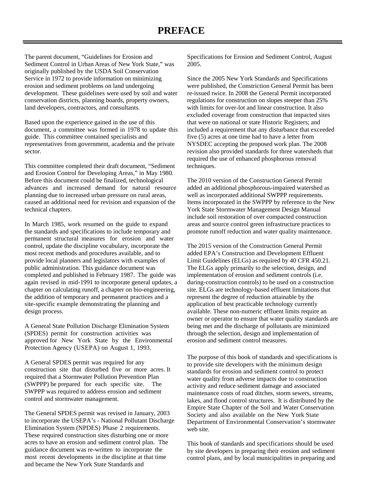Sediment Control in Urban Areas of New York State," was The parent document, "Guidelines for Erosion and originally published by the USDA Soil Conservation Service in 1972 to provide information on minimizing erosion and sediment problems on land undergoing development. These guidelines were used by soil and water conservation districts, planning boards, property owners, land developers, contractors, and consultants.

 document, a committee was formed in 1978 to update this guide. This committee contained specialists and Based upon the experience gained in the use of this representatives from government, academia and the private sector.

 and Erosion Control for Developing Areas," in May 1980. advances and increased demand for natural resource caused an additional need for revision and expansion of the This committee completed their draft document, "Sediment Before this document could be finalized, technological planning due to increased urban pressure on rural areas, technical chapters.

 In March 1985, work resumed on the guide to expand permanent structural measures for erosion and water completed and published in February 1987. The guide was again revised in mid-1991 to incorporate general updates, a site-specific example demonstrating the planning and the standards and specifications to include temporary and control, update the discipline vocabulary, incorporate the most recent methods and procedures available, and to provide local planners and legislators with examples of public administration. This guidance document was chapter on calculating runoff, a chapter on bio-engineering, the addition of temporary and permanent practices and a design process.

 A General State Pollution Discharge Elimination System approved for New York State by the Environmental Protection Agency (USEPA) on August 1, 1993. (SPDES) permit for construction activities was

 construction site that disturbed five or more acres. It (SWPPP) be prepared for each specific site. The A General SPDES permit was required for any required that a Stormwater Pollution Prevention Plan SWPPP was required to address erosion and sediment control and stormwater management.

 These required construction sites disturbing one or more acres to have an erosion and sediment control plan. The The General SPDES permit was revised in January, 2003 to incorporate the USEPA's - National Pollutant Discharge Elimination System (NPDES) Phase 2 requirements. guidance document was re-written to incorporate the most recent developments in the discipline at that time and became the New York State Standards and

Specifications for Erosion and Sediment Control, August 2005.

Since the 2005 New York Standards and Specifications were published, the Constriction General Permit has been re-issued twice. In 2008 the General Permit incorporated regulations for construction on slopes steeper than 25% with limits for over-lot and linear construction. It also excluded coverage from construction that impacted sites that were on national or state Historic Registers; and included a requirement that any disturbance that exceeded five (5) acres at one time had to have a letter from NYSDEC accepting the proposed work plan. The 2008 revision also provided standards for three watersheds that required the use of enhanced phosphorous removal techniques.

The 2010 version of the Construction General Permit added an additional phosphorous-impaired watershed as well as incorporated additional SWPPP requirements. Items incorporated in the SWPPP by reference to the New York State Stormwater Management Design Manual include soil restoration of over compacted construction areas and source control green infrastructure practices to promote runoff reduction and water quality maintenance.

 Limit Guidelines (ELGs) as required by 40 CFR 450.21. erosion and sediment control measures. The 2015 version of the Construction General Permit added EPA's Construction and Development Effluent The ELGs apply primarily to the selection, design, and implementation of erosion and sediment controls (i.e. during-construction controls) to be used on a construction site. ELGs are technology-based effluent limitations that represent the degree of reduction attainable by the application of best practicable technology currently available. These non-numeric effluent limits require an owner or operator to ensure that water quality standards are being met and the discharge of pollutants are minimized through the selection, design and implementation of

 The purpose of this book of standards and specifications is to provide site developers with the minimum design Empire State Chapter of the Soil and Water Conservation standards for erosion and sediment control to protect water quality from adverse impacts due to construction activity and reduce sediment damage and associated maintenance costs of road ditches, storm sewers, streams, lakes, and flood control structures. It is distributed by the Society and also available on the New York State Department of Environmental Conservation's stormwater web site.

 This book of standards and specifications should be used by site developers in preparing their erosion and sediment control plans, and by local municipalities in preparing and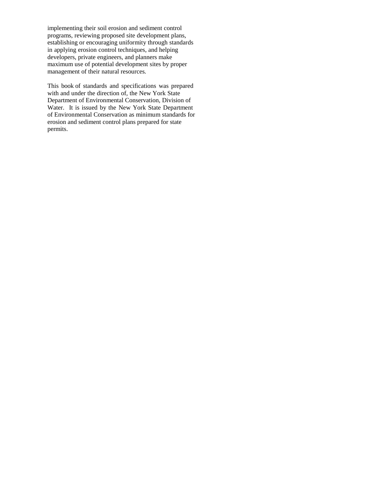implementing their soil erosion and sediment control programs, reviewing proposed site development plans, establishing or encouraging uniformity through standards in applying erosion control techniques, and helping maximum use of potential development sites by proper management of their natural resources. developers, private engineers, and planners make

 This book of standards and specifications was prepared with and under the direction of, the New York State Department of Environmental Conservation, Division of Water. It is issued by the New York State Department of Environmental Conservation as minimum standards for erosion and sediment control plans prepared for state permits.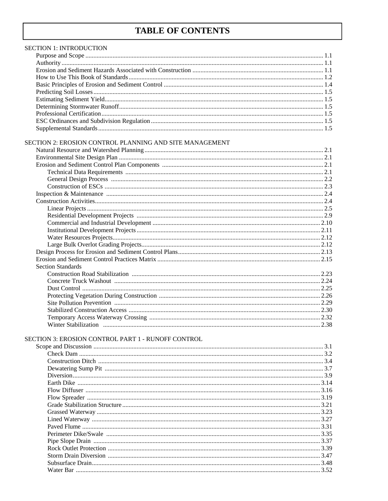## **TABLE OF CONTENTS**

| <b>SECTION 1: INTRODUCTION</b>                          |  |
|---------------------------------------------------------|--|
|                                                         |  |
|                                                         |  |
|                                                         |  |
|                                                         |  |
|                                                         |  |
|                                                         |  |
|                                                         |  |
|                                                         |  |
|                                                         |  |
|                                                         |  |
|                                                         |  |
| SECTION 2: EROSION CONTROL PLANNING AND SITE MANAGEMENT |  |
|                                                         |  |
|                                                         |  |
|                                                         |  |
|                                                         |  |
|                                                         |  |
|                                                         |  |
|                                                         |  |
|                                                         |  |
|                                                         |  |
|                                                         |  |
|                                                         |  |
|                                                         |  |
|                                                         |  |
|                                                         |  |
|                                                         |  |
|                                                         |  |
| <b>Section Standards</b>                                |  |
|                                                         |  |
|                                                         |  |
|                                                         |  |
|                                                         |  |
|                                                         |  |
|                                                         |  |
|                                                         |  |
|                                                         |  |
|                                                         |  |
| SECTION 3: EROSION CONTROL PART 1 - RUNOFF CONTROL      |  |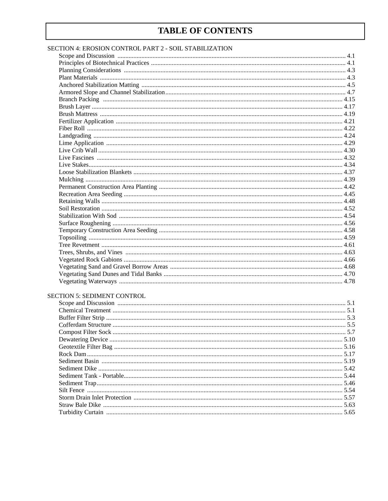### **TABLE OF CONTENTS**

#### SECTION 4: EROSION CONTROL PART 2 - SOIL STABILIZATION

#### SECTION 5: SEDIMENT CONTROL